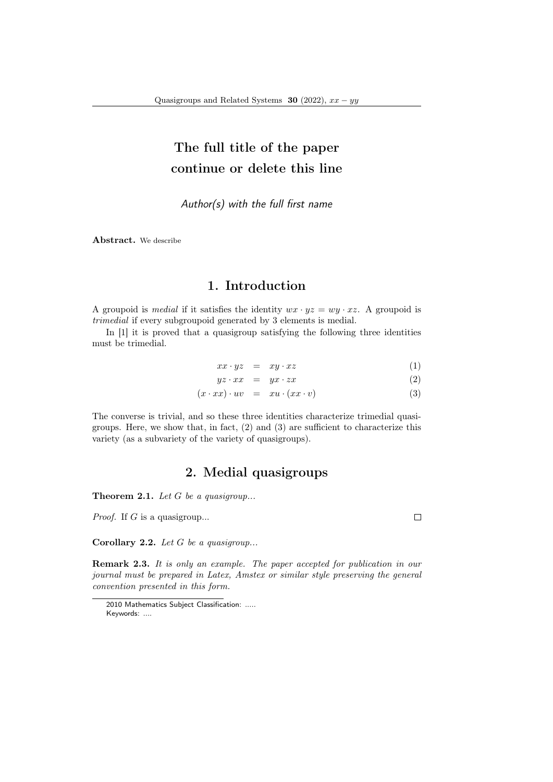## The full title of the paper continue or delete this line

Author(s) with the full first name

Abstract. We describe

## 1. Introduction

A groupoid is *medial* if it satisfies the identity  $wx \cdot yz = wy \cdot xz$ . A groupoid is trimedial if every subgroupoid generated by 3 elements is medial.

In [1] it is proved that a quasigroup satisfying the following three identities must be trimedial.

$$
xx \cdot yz = xy \cdot xz \tag{1}
$$

$$
yz \cdot xx = yx \cdot zx \tag{2}
$$

$$
(x \cdot xx) \cdot uv = xu \cdot (xx \cdot v) \tag{3}
$$

The converse is trivial, and so these three identities characterize trimedial quasigroups. Here, we show that, in fact, (2) and (3) are sufficient to characterize this variety (as a subvariety of the variety of quasigroups).

## 2. Medial quasigroups

**Theorem 2.1.** Let  $G$  be a quasigroup...

*Proof.* If  $G$  is a quasigroup...

Corollary 2.2. Let  $G$  be a quasigroup...

Remark 2.3. It is only an example. The paper accepted for publication in our journal must be prepared in Latex, Amstex or similar style preserving the general convention presented in this form.

 $\Box$ 

<sup>2010</sup> Mathematics Subject Classification: ..... Keywords: ....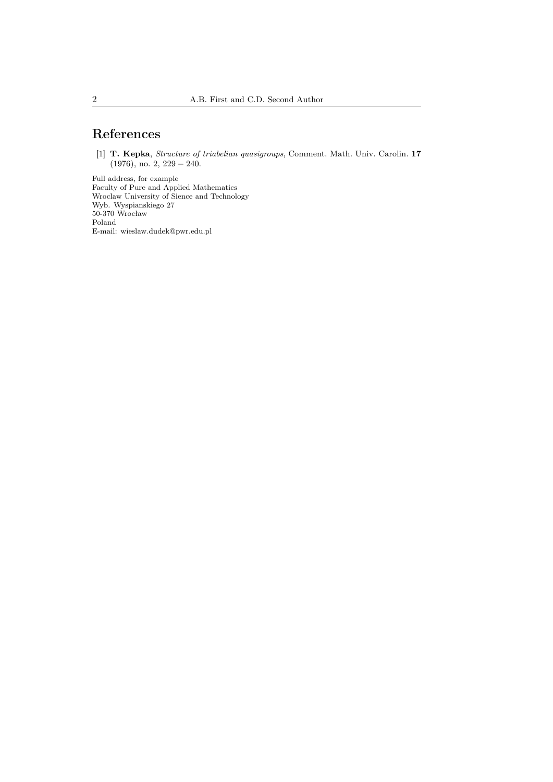## References

[1] T. Kepka, Structure of triabelian quasigroups, Comment. Math. Univ. Carolin. 17  $(1976)$ , no. 2,  $229 - 240$ .

Full address, for example Faculty of Pure and Applied Mathematics Wroclaw University of Sience and Technology Wyb. Wyspianskiego 27 50-370 Wrocław Poland E-mail: wieslaw.dudek@pwr.edu.pl